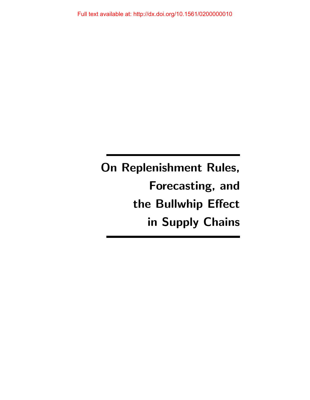On Replenishment Rules, Forecasting, and the Bullwhip Effect in Supply Chains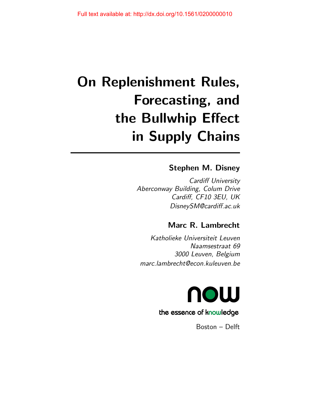# On Replenishment Rules, Forecasting, and the Bullwhip Effect in Supply Chains

## Stephen M. Disney

Cardiff University Aberconway Building, Colum Drive Cardiff, CF10 3EU, UK DisneySM@cardiff.ac.uk

# Marc R. Lambrecht

Katholieke Universiteit Leuven Naamsestraat 69 3000 Leuven, Belgium marc.lambrecht@econ.kuleuven.be



## the essence of knowledge

Boston – Delft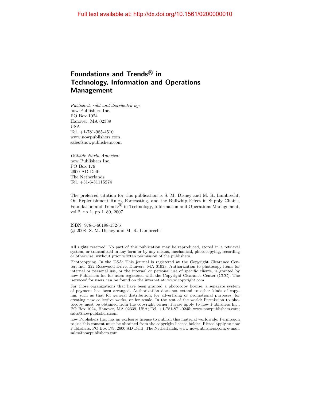## Foundations and Trends ${}^{\text{\textregistered}}$  in Technology, Information and Operations Management

Published, sold and distributed by: now Publishers Inc. PO Box 1024 Hanover, MA 02339 USA Tel. +1-781-985-4510 www.nowpublishers.com sales@nowpublishers.com

Outside North America: now Publishers Inc. PO Box 179 2600 AD Delft The Netherlands Tel. +31-6-51115274

The preferred citation for this publication is S. M. Disney and M. R. Lambrecht, On Replenishment Rules, Forecasting, and the Bullwhip Effect in Supply Chains, Foundation and Trends  $\overline{\mathfrak{B}}$  in Technology, Information and Operations Management, vol 2, no 1, pp 1–80, 2007

ISBN: 978-1-60198-132-5 c 2008 S. M. Disney and M. R. Lambrecht

All rights reserved. No part of this publication may be reproduced, stored in a retrieval system, or transmitted in any form or by any means, mechanical, photocopying, recording or otherwise, without prior written permission of the publishers.

Photocopying. In the USA: This journal is registered at the Copyright Clearance Center, Inc., 222 Rosewood Drive, Danvers, MA 01923. Authorization to photocopy items for internal or personal use, or the internal or personal use of specific clients, is granted by now Publishers Inc for users registered with the Copyright Clearance Center (CCC). The 'services' for users can be found on the internet at: www.copyright.com

For those organizations that have been granted a photocopy license, a separate system of payment has been arranged. Authorization does not extend to other kinds of copying, such as that for general distribution, for advertising or promotional purposes, for creating new collective works, or for resale. In the rest of the world: Permission to photocopy must be obtained from the copyright owner. Please apply to now Publishers Inc., PO Box 1024, Hanover, MA 02339, USA; Tel. +1-781-871-0245; www.nowpublishers.com; sales@nowpublishers.com

now Publishers Inc. has an exclusive license to publish this material worldwide. Permission to use this content must be obtained from the copyright license holder. Please apply to now Publishers, PO Box 179, 2600 AD Delft, The Netherlands, www.nowpublishers.com; e-mail: sales@nowpublishers.com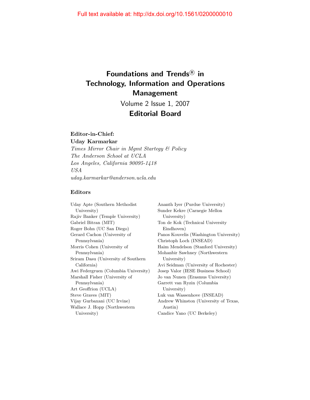# Foundations and Trends<sup>®</sup> in Technology, Information and Operations Management

Volume 2 Issue 1, 2007

#### Editorial Board

## Editor-in-Chief:

Uday Karmarkar

Times Mirror Chair in Mgmt Startegy & Policy The Anderson School at UCLA Los Angeles, California 90095-1418 USA uday.karmarkar@anderson.ucla.edu

#### Editors

Uday Apte (Southern Methodist University) Rajiv Banker (Temple University) Gabriel Bitran (MIT) Roger Bohn (UC San Diego) Gerard Cachon (University of Pennsylvania) Morris Cohen (University of Pennsylvania) Sriram Dasu (University of Southern California) Awi Federgruen (Columbia University) Marshall Fisher (University of Pennsylvania) Art Geoffrion (UCLA) Steve Graves (MIT) Vijay Gurbaxani (UC Irvine) Wallace J. Hopp (Northwestern University)

Ananth Iyer (Purdue University) Sunder Kekre (Carnegie Mellon University) Ton de Kok (Technical University Eindhoven) Panos Kouvelis (Washington University) Christoph Loch (INSEAD) Haim Mendelson (Stanford University) Mohanbir Sawhney (Northwestern University) Avi Seidman (University of Rochester) Josep Valor (IESE Business School) Jo van Nunen (Erasmus University) Garrett van Ryzin (Columbia University) Luk van Wassenhove (INSEAD) Andrew Whinston (University of Texas, Austin) Candice Yano (UC Berkeley)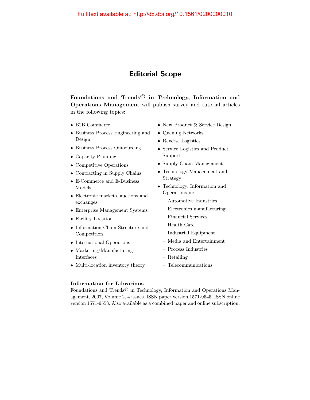## Editorial Scope

Foundations and Trends $^{\circledR}$  in Technology, Information and Operations Management will publish survey and tutorial articles in the following topics:

- B2B Commerce
- Business Process Engineering and Design
- Business Process Outsourcing
- Capacity Planning
- Competitive Operations
- Contracting in Supply Chains
- E-Commerce and E-Business Models
- Electronic markets, auctions and exchanges
- Enterprise Management Systems
- Facility Location
- Information Chain Structure and Competition
- International Operations
- Marketing/Manufacturing Interfaces
- Multi-location inventory theory
- New Product & Service Design
- Queuing Networks
- Reverse Logistics
- Service Logistics and Product Support
- Supply Chain Management
- Technology Management and Strategy
- Technology, Information and Operations in:
	- Automotive Industries
	- Electronics manufacturing
	- Financial Services
	- Health Care
	- Industrial Equipment
	- Media and Entertainment
	- Process Industries
	- Retailing
	- Telecommunications

#### Information for Librarians

Foundations and Trends<sup>®</sup> in Technology, Information and Operations Management, 2007, Volume 2, 4 issues. ISSN paper version 1571-9545. ISSN online version 1571-9553. Also available as a combined paper and online subscription.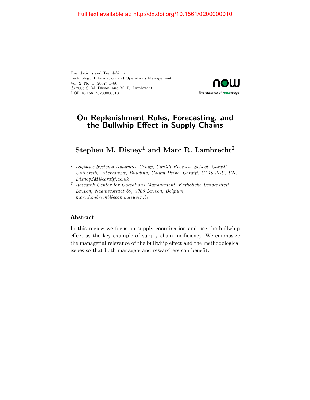Foundations and Trends<sup>®</sup> in Technology, Information and Operations Management Vol. 2, No. 1 (2007) 1–80 c 2008 S. M. Disney and M. R. Lambrecht DOI: 10.1561/0200000010



#### On Replenishment Rules, Forecasting, and the Bullwhip Effect in Supply Chains

## Stephen M. Disney<sup>1</sup> and Marc R. Lambrecht<sup>2</sup>

- $1$  Logistics Systems Dynamics Group, Cardiff Business School, Cardiff University, Aberconway Building, Colum Drive, Cardiff, CF10 3EU, UK, DisneySM@cardiff.ac.uk
- <sup>2</sup> Research Center for Operations Management, Katholieke Universiteit Leuven, Naamsestraat 69, 3000 Leuven, Belgium, marc.lambrecht@econ.kuleuven.be

#### Abstract

In this review we focus on supply coordination and use the bullwhip effect as the key example of supply chain inefficiency. We emphasize the managerial relevance of the bullwhip effect and the methodological issues so that both managers and researchers can benefit.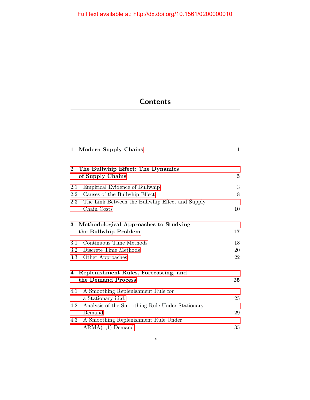# **Contents**

| $\mathbf{1}$   | <b>Modern Supply Chains</b>                     | $\mathbf{1}$ |
|----------------|-------------------------------------------------|--------------|
| $\overline{2}$ | The Bullwhip Effect: The Dynamics               |              |
|                | of Supply Chains                                | 3            |
| 2.1            | Empirical Evidence of Bullwhip                  | 3            |
| $2.2\,$        | Causes of the Bullwhip Effect                   | 8            |
| 2.3            | The Link Between the Bullwhip Effect and Supply |              |
|                | Chain Costs                                     | 10           |
| 3              | Methodological Approaches to Studying           |              |
|                | the Bullwhip Problem                            | $17\,$       |
| 3.1            | Continuous Time Methods                         | 18           |
| $3.2\,$        | Discrete Time Methods                           | 20           |
| $3.3\,$        | Other Approaches                                | 22           |
| 4              | Replenishment Rules, Forecasting, and           |              |
|                | the Demand Process                              | 25           |
| 4.1            | A Smoothing Replenishment Rule for              |              |
|                | a Stationary i.i.d.                             | 25           |
| 4.2            | Analysis of the Smoothing Rule Under Stationary |              |
|                | Demand                                          | 29           |
| 4.3            | A Smoothing Replenishment Rule Under            |              |
|                | $ARMA(1,1)$ Demand                              | 35           |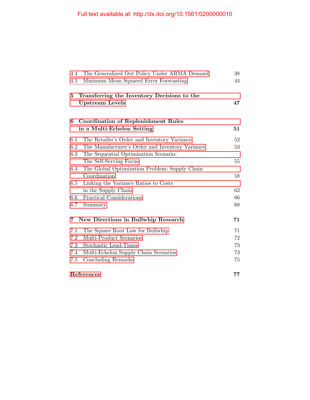| 4.4        | The Generalized Out Policy Under ARMA Demand                          | 38 |
|------------|-----------------------------------------------------------------------|----|
| 4.5        | Minimum Mean Squared Error Forecasting                                | 44 |
| $\bf{5}$   | Transferring the Inventory Decisions to the<br><b>Upstream Levels</b> | 47 |
| 6          | <b>Coordination of Replenishment Rules</b>                            |    |
|            | in a Multi-Echelon Setting                                            | 51 |
| 6.1        | The Retailer's Order and Inventory Variance                           | 52 |
| 6.2        | The Manufacturer's Order and Inventory Variance                       | 53 |
| 6.3        | The Sequential Optimization Scenario:                                 |    |
|            | The Self-Serving Focus                                                | 55 |
| 6.4        | The Global Optimization Problem: Supply Chain                         |    |
|            | Coordination                                                          | 58 |
| 6.5        | Linking the Variance Ratios to Costs                                  |    |
|            | in the Supply Chain                                                   | 62 |
| 6.6        | Practical Considerations                                              | 66 |
| 6.7        | Summary                                                               | 68 |
| 7          | <b>New Directions in Bullwhip Research</b>                            | 71 |
| 7.1        | The Square Root Law for Bullwhip                                      | 71 |
| 7.2        | Multi-Product Scenarios                                               | 72 |
| 7.3        | Stochastic Lead-Times                                                 | 73 |
| 7.4        | Multi-Echelon Supply Chain Scenarios                                  | 73 |
| 7.5        | Concluding Remarks                                                    | 75 |
| References |                                                                       | 77 |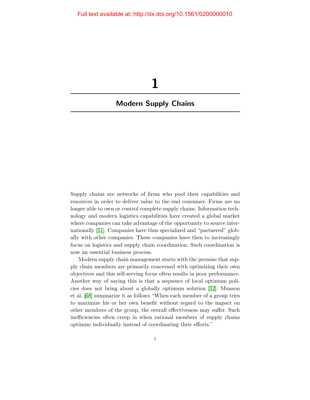## <span id="page-8-0"></span>Modern Supply Chains

1

Supply chains are networks of firms who pool their capabilities and resources in order to deliver value to the end consumer. Firms are no longer able to own or control complete supply chains. Information technology and modern logistics capabilities have created a global market where companies can take advantage of the opportunity to source internationally [\[51\]](#page-13-0). Companies have thus specialized and "partnered" globally with other companies. These companies have then to increasingly focus on logistics and supply chain coordination. Such coordination is now an essential business process.

Modern supply chain management starts with the premise that supply chain members are primarily concerned with optimizing their own objectives and this self-serving focus often results in poor performance. Another way of saying this is that a sequence of local optimum policies does not bring about a globally optimum solution [\[12\]](#page-11-0). Munson et al. [\[68\]](#page-14-0) summarize it as follows "When each member of a group tries to maximize his or her own benefit without regard to the impact on other members of the group, the overall effectiveness may suffer. Such inefficiencies often creep in when rational members of supply chains optimize individually instead of coordinating their efforts."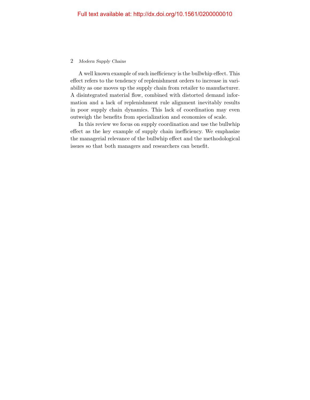#### 2 Modern Supply Chains

A well known example of such inefficiency is the bullwhip effect. This effect refers to the tendency of replenishment orders to increase in variability as one moves up the supply chain from retailer to manufacturer. A disintegrated material flow, combined with distorted demand information and a lack of replenishment rule alignment inevitably results in poor supply chain dynamics. This lack of coordination may even outweigh the benefits from specialization and economies of scale.

In this review we focus on supply coordination and use the bullwhip effect as the key example of supply chain inefficiency. We emphasize the managerial relevance of the bullwhip effect and the methodological issues so that both managers and researchers can benefit.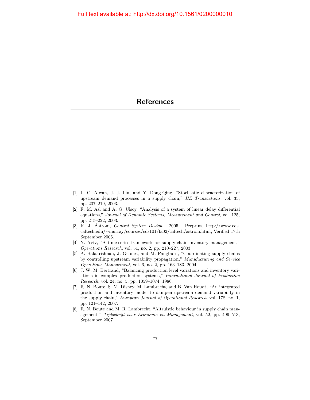- <span id="page-10-0"></span>[1] L. C. Alwan, J. J. Liu, and Y. Dong-Qing, "Stochastic characterization of upstream demand processes in a supply chain," IIE Transactions, vol. 35, pp. 207–219, 2003.
- [2] F. M. Asl and A. G. Ulsoy, "Analysis of a system of linear delay differential equations," Journal of Dynamic Systems, Measurement and Control, vol. 125, pp. 215–222, 2003.
- [3] K. J. Åström, Control System Design. 2005. Preprint, http://www.cds. caltech.edu/∼murray/courses/cds101/fa02/caltech/astrom.html, Verified 17th September 2005.
- [4] Y. Aviv, "A time-series framework for supply-chain inventory management," Operations Research, vol. 51, no. 2, pp. 210–227, 2003.
- [5] A. Balakrishnan, J. Geunes, and M. Pangburn, "Coordinating supply chains by controlling upstream variability propagation," Manufacturing and Service Operations Management, vol. 6, no. 2, pp. 163–183, 2004.
- [6] J. W. M. Bertrand, "Balancing production level variations and inventory variations in complex production systems," International Journal of Production Research, vol. 24, no. 5, pp. 1059–1074, 1986.
- [7] R. N. Boute, S. M. Disney, M. Lambrecht, and B. Van Houdt, "An integrated production and inventory model to dampen upstream demand variability in the supply chain," European Journal of Operational Research, vol. 178, no. 1, pp. 121–142, 2007.
- [8] R. N. Boute and M. R. Lambrecht, "Altruistic behaviour in supply chain management," Tijdschrift voor Economie en Management, vol. 52, pp. 499–513, September 2007.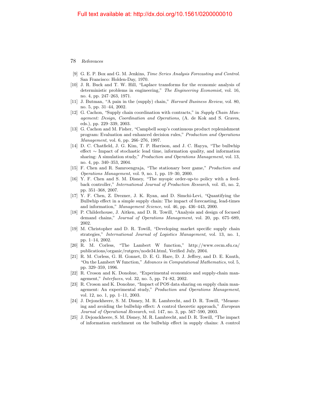- [9] G. E. P. Box and G. M. Jenkins, Time Series Analysis Forecasting and Control. San Francisco: Holden-Day, 1970.
- [10] J. R. Buck and T. W. Hill, "Laplace transforms for the economic analysis of deterministic problems in engineering," The Engineering Economist, vol. 16, no. 4, pp. 247–263, 1971.
- [11] J. Butman, "A pain in the (supply) chain," Harvard Business Review, vol. 80, no. 5, pp. 31–44, 2002.
- <span id="page-11-0"></span>[12] G. Cachon, "Supply chain coordination with contracts," in Supply Chain Management: Design, Coordination and Operations, (A. de Kok and S. Graves, eds.), pp. 229–339, 2003.
- [13] G. Cachon and M. Fisher, "Campbell soup's continuous product replenishment program: Evaluation and enhanced decision rules," Production and Operations Management, vol. 6, pp. 266–276, 1997.
- [14] D. C. Chatfield, J. G. Kim, T. P. Harrison, and J. C. Hayya, "The bullwhip effect ∼ Impact of stochastic lead time, information quality, and information sharing: A simulation study," *Production and Operations Management*, vol. 13, no. 4, pp. 340–353, 2004.
- [15] F. Chen and R. Samroengraja, "The stationary beer game," Production and Operations Management, vol. 9, no. 1, pp. 19–30, 2000.
- [16] Y. F. Chen and S. M. Disney, "The myopic order-up-to policy with a feedback controller," International Journal of Production Research, vol. 45, no. 2, pp. 351–368, 2007.
- [17] Y. F. Chen, Z. Drezner, J. K. Ryan, and D. Simchi-Levi, "Quantifying the Bullwhip effect in a simple supply chain: The impact of forecasting, lead-times and information," Management Science, vol. 46, pp. 436–443, 2000.
- [18] P. Childerhouse, J. Aitken, and D. R. Towill, "Analysis and design of focused demand chains," Journal of Operations Management, vol. 20, pp. 675–689, 2002.
- [19] M. Christopher and D. R. Towill, "Developing market specific supply chain strategies," International Journal of Logistics Management, vol. 13, no. 1, pp. 1–14, 2002.
- [20] R. M. Corless, "The Lambert W function," http://www.cecm.sfu.ca/ publications/organic/rutgers/node34.html, Verified July, 2004.
- [21] R. M. Corless, G. H. Gonnet, D. E. G. Hare, D. J. Jeffrey, and D. E. Knuth, "On the Lambert W function," Advances in Computational Mathematics, vol. 5, pp. 329–359, 1996.
- [22] R. Croson and K. Donohue, "Experimental economics and supply-chain management," Interfaces, vol. 32, no. 5, pp. 74–82, 2002.
- [23] R. Croson and K. Donohue, "Impact of POS data sharing on supply chain management: An experimental study," Production and Operations Management, vol. 12, no. 1, pp. 1–11, 2003.
- [24] J. Dejonckheere, S. M. Disney, M. R. Lambrecht, and D. R. Towill, "Measuring and avoiding the bullwhip effect: A control theoretic approach," *European* Journal of Operational Research, vol. 147, no. 3, pp. 567–590, 2003.
- [25] J. Dejonckheere, S. M. Disney, M. R. Lambrecht, and D. R. Towill, "The impact of information enrichment on the bullwhip effect in supply chains: A control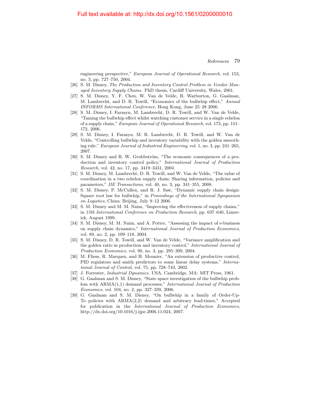engineering perspective," European Journal of Operational Research, vol. 153, no. 3, pp. 727–750, 2004.

- [26] S. M. Disney, The Production and Inventory Control Problem in Vendor Managed Inventory Supply Chains. PhD thesis, Cardiff University, Wales, 2001.
- [27] S. M. Disney, Y. F. Chen, W. Van de Velde, R. Warburton, G. Gaalman, M. Lambrecht, and D. R. Towill, "Economics of the bullwhip effect," Annual INFORMS International Conference, Hong Kong, June 25–28 2006.
- [28] S. M. Disney, I. Farasyn, M. Lambrecht, D. R. Towill, and W. Van de Velde, "Taming the bullwhip effect whilst watching customer service in a single echelon of a supply chain," European Journal of Operational Research, vol. 173, pp. 151– 172, 2006.
- [29] S. M. Disney, I. Farasyn, M. R. Lambrecht, D. R. Towill, and W. Van de Velde, "Controlling bullwhip and inventory variability with the golden smoothing rule," European Journal of Industrial Engineering, vol. 1, no. 3, pp. 241–265, 2007.
- [30] S. M. Disney and R. W. Grubbström, "The economic consequences of a production and inventory control policy," International Journal of Production Research, vol. 42, no. 17, pp. 3419–3431, 2004.
- [31] S. M. Disney, M. Lambrecht, D. R. Towill, and W. Van de Velde, "The value of coordination in a two echelon supply chain: Sharing information, policies and parameters," IIE Transactions, vol. 40, no. 3, pp. 341–355, 2008.
- [32] S. M. Disney, P. McCullen, and R. J. Saw, "Dynamic supply chain design: Square root law for bullwhip," in Proceedings of the International Symposium on Logistics, China: Beijing, July 9–12 2006.
- [33] S. M. Disney and M. M. Naim, "Improving the effectiveness of supply chains," in 15th International Conference on Production Research, pp. 637–640, Limerick, August 1999.
- [34] S. M. Disney, M. M. Naim, and A. Potter, "Assessing the impact of e-business on supply chain dynamics," International Journal of Production Economics, vol. 89, no. 2, pp. 109–118, 2004.
- [35] S. M. Disney, D. R. Towill, and W. Van de Velde, "Variance amplification and the golden ratio in production and inventory control," International Journal of Production Economics, vol. 90, no. 3, pp. 295–309, 2004.
- [36] M. Fliess, R. Marquez, and H. Mounier, "An extension of productive control, PID regulators and smith predictors to some linear delay systems," International Journal of Control, vol. 75, pp. 728–743, 2002.
- [37] J. Forrester, Industrial Dynamics. USA, Cambridge, MA: MIT Press, 1961.
- [38] G. Gaalman and S. M. Disney, "State space investigation of the bullwhip problem with ARMA(1,1) demand processes," International Journal of Production Economics, vol. 104, no. 2, pp. 327–339, 2006.
- [39] G. Gaalman and S. M. Disney, "On bullwhip in a family of Order-Up-To policies with ARMA(2,2) demand and arbitrary lead-times," Accepted for publication in the International Journal of Production Economics, http://dx.doi.org/10.1016/j.ijpe.2006.11.024, 2007.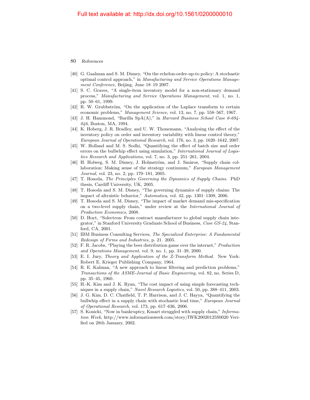- [40] G. Gaalman and S. M. Disney, "On the echelon-order-up-to policy: A stochastic optimal control approach," in Manufacturing and Service Operations Management Conference, Beijing, June 18–19 2007.
- [41] S. C. Graves, "A single-item inventory model for a non-stationary demand process," Manufacturing and Service Operations Management, vol. 1, no. 1, pp. 50–61, 1999.
- [42] R. W. Grubbström, "On the application of the Laplace transform to certain economic problems," Management Science, vol. 13, no. 7, pp. 558–567, 1967.
- [43] J. H. Hammond, "Barilla SpA(A)," in Harvard Business School Case 6-694- 046, Boston, MA, 1994.
- [44] K. Hoberg, J. R. Bradley, and U. W. Thonemann, "Analysing the effect of the inventory policy on order and inventory variability with linear control theory," European Journal of Operational Research, vol. 176, no. 3, pp. 1620–1642, 2007.
- [45] W. Holland and M. S. Sodhi, "Quantifying the effect of batch size and order errors on the bullwhip effect using simulation," International Journal of Logistics Research and Applications, vol. 7, no. 3, pp. 251–261, 2004.
- [46] H. Holweg, S. M. Disney, J. Holmström, and J. Småros, "Supply chain collaboration: Making sense of the strategy continuum," European Management Journal, vol. 23, no. 2, pp. 170–181, 2005.
- [47] T. Hosoda, The Principles Governing the Dynamics of Supply Chains. PhD thesis, Cardiff University, UK, 2005.
- [48] T. Hosoda and S. M. Disney, "The governing dynamics of supply chains: The impact of altruistic behavior," Automatica, vol. 42, pp. 1301–1309, 2006.
- [49] T. Hosoda and S. M. Disney, "The impact of market demand mis-specification on a two-level supply chain," under review at the International Journal of Production Economics, 2008.
- [50] D. Hoyt, "Solectron: From contract manufacturer to global supply chain integrator," in Stanford University Graduate School of Business, Case GS-24, Stanford, CA, 2001.
- <span id="page-13-0"></span>[51] IBM Business Consulting Services, The Specialized Enterprise: A Fundamental Redesign of Firms and Industries, p. 21. 2005.
- [52] F. R. Jacobs, "Playing the beer distribution game over the internet," Production and Operations Management, vol. 9, no. 1, pp. 31–39, 2000.
- [53] E. I. Jury, Theory and Application of the Z-Transform Method. New York: Robert E. Krieger Publishing Company, 1964.
- [54] R. E. Kalman, "A new approach to linear filtering and prediction problems," Transactions of the ASME-Journal of Basic Engineering, vol. 82, no. Series D, pp. 35–45, 1960.
- [55] H.-K. Kim and J. K. Ryan, "The cost impact of using simple forecasting techniques in a supply chain," Navel Research Logistics, vol. 50, pp. 388–411, 2003.
- [56] J. G. Kim, D. C. Chatfield, T. P. Harrison, and J. C. Hayya, "Quantifying the bullwhip effect in a supply chain with stochastic lead time," European Journal of Operational Research, vol. 173, pp. 617–636, 2006.
- [57] S. Konicki, "Now in bankruptcy, Kmart struggled with supply chain," Information Week, http://www.informationweek.com/story/IWK20020125S0020 Verified on 28th January, 2002.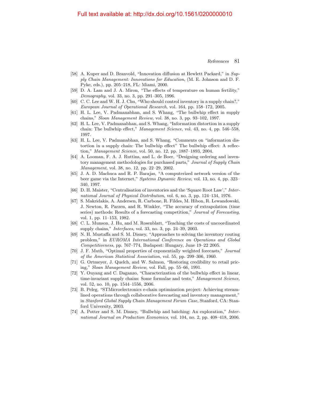#### Full text available at: http://dx.doi.org/10.1561/0200000010

- [58] A. Kuper and D. Branvold, "Innovation diffusion at Hewlett Packard," in Supply Chain Management: Innovations for Education, (M. E. Johnson and D. F. Pyke, eds.), pp. 205–218, FL: Miami, 2000.
- [59] D. A. Lam and J. A. Miron, "The effects of temperature on human fertility," Demography, vol. 33, no. 3, pp. 291–305, 1996.
- [60] C. C. Lee and W. H. J. Chu, "Who should control inventory in a supply chain?," European Journal of Operational Research, vol. 164, pp. 158–172, 2005.
- [61] H. L. Lee, V. Padmanabhan, and S. Whang, "The bullwhip effect in supply chains," Sloan Management Review, vol. 38, no. 3, pp. 93–102, 1997.
- [62] H. L. Lee, V. Padmanabhan, and S. Whang, "Information distortion in a supply chain: The bullwhip effect," Management Science, vol. 43, no. 4, pp. 546–558, 1997.
- [63] H. L. Lee, V. Padmanabhan, and S. Whang, "Comments on "information distortion in a supply chain: The bullwhip effect" The bullwhip effect: A reflection," Management Science, vol. 50, no. 12, pp. 1887–1893, 2004.
- [64] A. Looman, F. A. J. Ruttins, and L. de Boer, "Designing ordering and inventory management methodologies for purchased parts," Journal of Supply Chain Management, vol. 38, no. 12, pp. 22–29, 2002.
- [65] J. A. D. Machuca and R. P. Barajas, "A computerized network version of the beer game via the Internet," Systems Dynamic Review, vol. 13, no. 4, pp. 323– 340, 1997.
- [66] D. H. Maister, "Centralisation of inventories and the 'Square Root Law'," International Journal of Physical Distribution, vol. 6, no. 3, pp. 124–134, 1976.
- [67] S. Makridakis, A. Andersen, R. Carbone, R. Fildes, M. Hibon, R. Lewandowski, J. Newton, R. Parzen, and R. Winkler, "The accuracy of extrapolation (time series) methods: Results of a forecasting competition," Journal of Forecasting, vol. 1, pp. 11–153, 1982.
- <span id="page-14-0"></span>[68] C. L. Munson, J. Hu, and M. Rosenblatt, "Teaching the costs of uncoordinated supply chains," Interfaces, vol. 33, no. 3, pp. 24–39, 2003.
- [69] N. H. Mustaffa and S. M. Disney, "Approaches to solving the inventory routing problem," in EUROMA International Conference on Operations and Global Competitiveness, pp. 767–774, Budapest: Hungary, June 19–22 2005.
- [70] J. F. Muth, "Optimal properties of exponentially weighted forecasts," Journal of the American Statistical Association, vol. 55, pp. 299–306, 1960.
- [71] G. Ortmeyer, J. Quelch, and W. Salmon, "Restoring credibility to retail pricing," Sloan Management Review, vol. Fall, pp. 55–66, 1991.
- [72] Y. Ouyang and C. Daganzo, "Characterization of the bullwhip effect in linear, time-invariant supply chains: Some formulae and tests," Management Science, vol. 52, no. 10, pp. 1544–1556, 2006.
- [73] B. Peleg, "STMicroelectronics e-chain optimization project: Achieving streamlined operations through collaborative forecasting and inventory management," in Stanford Global Supply Chain Management Forum Case, Stanford, CA: Stanford University, 2003.
- [74] A. Potter and S. M. Disney, "Bullwhip and batching: An exploration," International Journal on Production Economics, vol. 104, no. 2, pp. 408–418, 2006.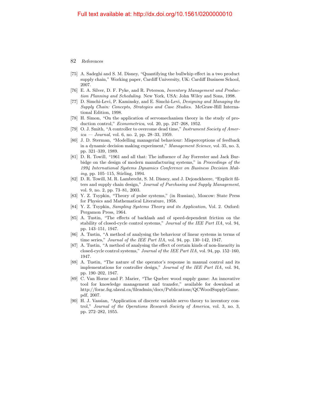- [75] A. Sadeghi and S. M. Disney, "Quantifying the bullwhip effect in a two product supply chain," Working paper, Cardiff University, UK: Cardiff Business School, 2007.
- [76] E. A. Silver, D. F. Pyke, and R. Peterson, Inventory Management and Production Planning and Scheduling. New York, USA: John Wiley and Sons, 1998.
- [77] D. Simchi-Levi, P. Kaminsky, and E. Simchi-Levi, Designing and Managing the Supply Chain: Concepts, Strategies and Case Studies. McGraw-Hill International Edition, 1998.
- [78] H. Simon, "On the application of servomechanism theory in the study of production control," Econometrica, vol. 20, pp. 247–268, 1952.
- [79] O. J. Smith, "A controller to overcome dead time," Instrument Society of Amer $ica - Journal$ , vol. 6, no. 2, pp. 28–33, 1959.
- [80] J. D. Sterman, "Modelling managerial behaviour: Misperceptions of feedback in a dynamic decision making experiment," Management Science, vol. 35, no. 3, pp. 321–339, 1989.
- [81] D. R. Towill, "1961 and all that: The influence of Jay Forrester and Jack Burbidge on the design of modern manufacturing systems," in *Proceedings of the* 1994 International Systems Dynamics Conference on Business Decision Making, pp. 105–115, Stirling, 1994.
- [82] D. R. Towill, M. R. Lambrecht, S. M. Disney, and J. Dejonckheere, "Explicit filters and supply chain design," Journal of Purchasing and Supply Management, vol. 9, no. 2, pp. 73–81, 2003.
- [83] Y. Z. Tsypkin, "Theory of pulse systems," (in Russian), Moscow: State Press for Physics and Mathematical Literature, 1958.
- [84] Y. Z. Tsypkin, *Sampling Systems Theory and its Application*, Vol. 2. Oxford: Pergamon Press, 1964.
- [85] A. Tustin, "The effects of backlash and of speed-dependent friction on the stability of closed-cycle control systems," Journal of the IEE Part IIA, vol. 94, pp. 143–151, 1947.
- [86] A. Tustin, "A method of analysing the behaviour of linear systems in terms of time series," *Journal of the IEE Part IIA*, vol. 94, pp. 130–142, 1947.
- [87] A. Tustin, "A method of analysing the effect of certain kinds of non-linearity in closed-cycle control systems," Journal of the IEE Part IIA, vol. 94, pp. 152–160, 1947.
- [88] A. Tustin, "The nature of the operator's response in manual control and its implementations for controller design," Journal of the IEE Part IIA, vol. 94, pp. 190–202, 1947.
- [89] C. Van Horne and P. Marier, "The Quebec wood supply game: An innovative tool for knowledge management and transfer," available for download at http://forac.fsg.ulaval.ca/fileadmin/docs/Publications/QCWoodSupplyGame. pdf, 2007.
- [90] H. J. Vassian, "Application of discrete variable servo theory to inventory control," Journal of the Operations Research Society of America, vol. 3, no. 3, pp. 272–282, 1955.